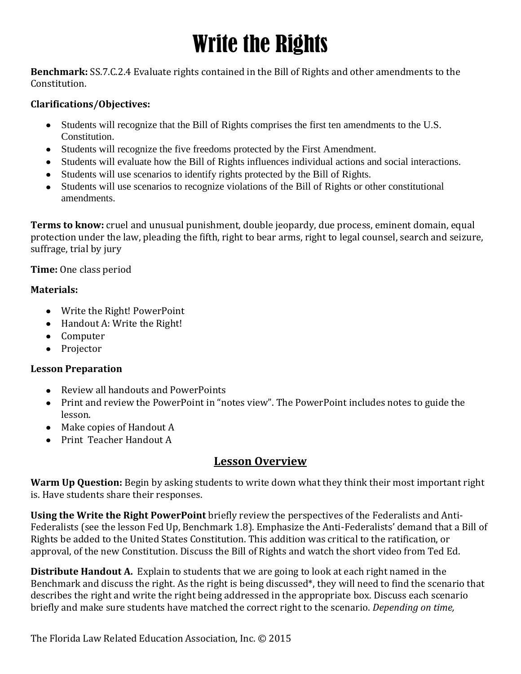# Write the Rights

**Benchmark:** SS.7.C.2.4 Evaluate rights contained in the Bill of Rights and other amendments to the Constitution.

### **Clarifications/Objectives:**

- Students will recognize that the Bill of Rights comprises the first ten amendments to the U.S. Constitution.
- Students will recognize the five freedoms protected by the First Amendment.
- Students will evaluate how the Bill of Rights influences individual actions and social interactions.
- Students will use scenarios to identify rights protected by the Bill of Rights.
- Students will use scenarios to recognize violations of the Bill of Rights or other constitutional amendments.

**Terms to know:** cruel and unusual punishment, double jeopardy, due process, eminent domain, equal protection under the law, pleading the fifth, right to bear arms, right to legal counsel, search and seizure, suffrage, trial by jury

**Time:** One class period

#### **Materials:**

- Write the Right! PowerPoint
- Handout A: Write the Right!
- Computer
- Projector

#### **Lesson Preparation**

- Review all handouts and PowerPoints
- Print and review the PowerPoint in "notes view". The PowerPoint includes notes to guide the lesson.
- Make copies of Handout A
- Print Teacher Handout A

## **Lesson Overview**

**Warm Up Question:** Begin by asking students to write down what they think their most important right is. Have students share their responses.

**Using the Write the Right PowerPoint** briefly review the perspectives of the Federalists and Anti-Federalists (see the lesson Fed Up, Benchmark 1.8). Emphasize the Anti-Federalists' demand that a Bill of Rights be added to the United States Constitution. This addition was critical to the ratification, or approval, of the new Constitution. Discuss the Bill of Rights and watch the short video from Ted Ed.

**Distribute Handout A.** Explain to students that we are going to look at each right named in the Benchmark and discuss the right. As the right is being discussed\*, they will need to find the scenario that describes the right and write the right being addressed in the appropriate box. Discuss each scenario briefly and make sure students have matched the correct right to the scenario. *Depending on time,*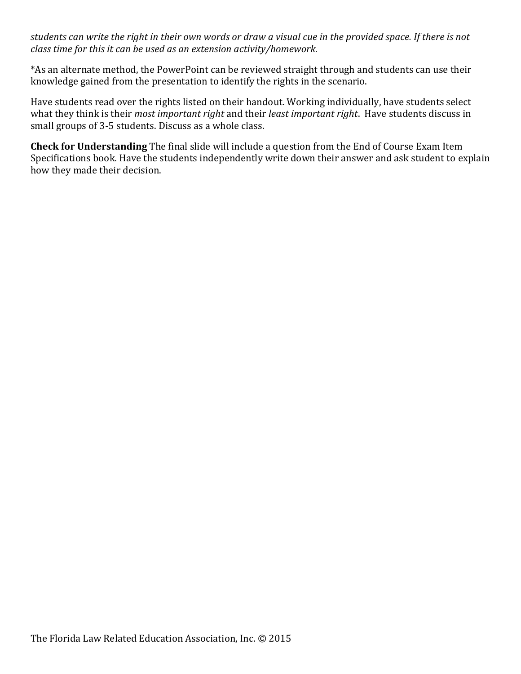*students can write the right in their own words or draw a visual cue in the provided space. If there is not class time for this it can be used as an extension activity/homework.*

\*As an alternate method, the PowerPoint can be reviewed straight through and students can use their knowledge gained from the presentation to identify the rights in the scenario.

Have students read over the rights listed on their handout. Working individually, have students select what they think is their *most important right* and their *least important right*. Have students discuss in small groups of 3-5 students. Discuss as a whole class.

**Check for Understanding** The final slide will include a question from the End of Course Exam Item Specifications book. Have the students independently write down their answer and ask student to explain how they made their decision.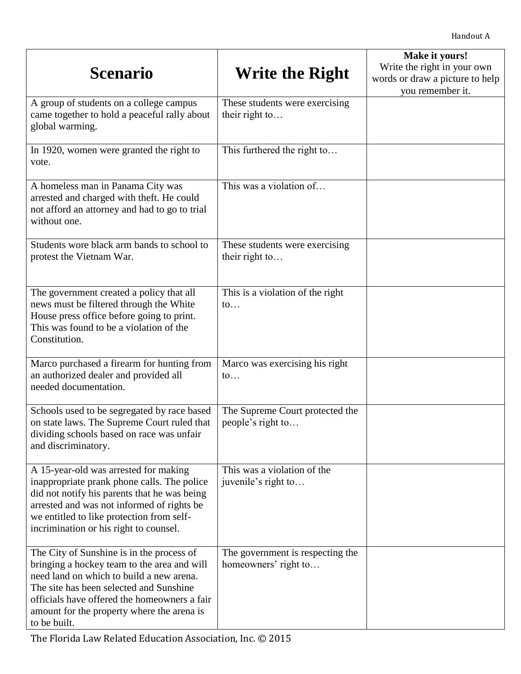| <b>Scenario</b>                                                                                                                                                                                                                                                                               | Write the Right                                          | Make it yours!<br>Write the right in your own<br>words or draw a picture to help<br>you remember it. |
|-----------------------------------------------------------------------------------------------------------------------------------------------------------------------------------------------------------------------------------------------------------------------------------------------|----------------------------------------------------------|------------------------------------------------------------------------------------------------------|
| A group of students on a college campus<br>came together to hold a peaceful rally about<br>global warming.                                                                                                                                                                                    | These students were exercising<br>their right to         |                                                                                                      |
| In 1920, women were granted the right to<br>vote.                                                                                                                                                                                                                                             | This furthered the right to                              |                                                                                                      |
| A homeless man in Panama City was<br>arrested and charged with theft. He could<br>not afford an attorney and had to go to trial<br>without one.                                                                                                                                               | This was a violation of                                  |                                                                                                      |
| Students wore black arm bands to school to<br>protest the Vietnam War.                                                                                                                                                                                                                        | These students were exercising<br>their right to         |                                                                                                      |
| The government created a policy that all<br>news must be filtered through the White<br>House press office before going to print.<br>This was found to be a violation of the<br>Constitution.                                                                                                  | This is a violation of the right<br>$\mathfrak{to}$      |                                                                                                      |
| Marco purchased a firearm for hunting from<br>an authorized dealer and provided all<br>needed documentation.                                                                                                                                                                                  | Marco was exercising his right<br>$\mathfrak{to}$        |                                                                                                      |
| Schools used to be segregated by race based<br>on state laws. The Supreme Court ruled that<br>dividing schools based on race was unfair<br>and discriminatory.                                                                                                                                | The Supreme Court protected the<br>people's right to     |                                                                                                      |
| A 15-year-old was arrested for making<br>inappropriate prank phone calls. The police<br>did not notify his parents that he was being<br>arrested and was not informed of rights be<br>we entitled to like protection from self-<br>incrimination or his right to counsel.                     | This was a violation of the<br>juvenile's right to       |                                                                                                      |
| The City of Sunshine is in the process of<br>bringing a hockey team to the area and will<br>need land on which to build a new arena.<br>The site has been selected and Sunshine<br>officials have offered the homeowners a fair<br>amount for the property where the arena is<br>to be built. | The government is respecting the<br>homeowners' right to |                                                                                                      |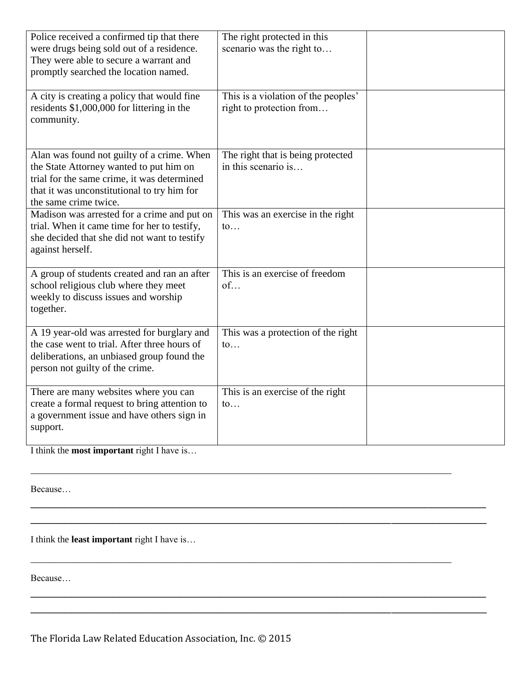| Police received a confirmed tip that there<br>were drugs being sold out of a residence.<br>They were able to secure a warrant and<br>promptly searched the location named.                                   | The right protected in this<br>scenario was the right to        |  |
|--------------------------------------------------------------------------------------------------------------------------------------------------------------------------------------------------------------|-----------------------------------------------------------------|--|
| A city is creating a policy that would fine<br>residents \$1,000,000 for littering in the<br>community.                                                                                                      | This is a violation of the peoples'<br>right to protection from |  |
| Alan was found not guilty of a crime. When<br>the State Attorney wanted to put him on<br>trial for the same crime, it was determined<br>that it was unconstitutional to try him for<br>the same crime twice. | The right that is being protected<br>in this scenario is        |  |
| Madison was arrested for a crime and put on<br>trial. When it came time for her to testify,<br>she decided that she did not want to testify<br>against herself.                                              | This was an exercise in the right<br>$\mathfrak{to}$            |  |
| A group of students created and ran an after<br>school religious club where they meet<br>weekly to discuss issues and worship<br>together.                                                                   | This is an exercise of freedom<br>of                            |  |
| A 19 year-old was arrested for burglary and<br>the case went to trial. After three hours of<br>deliberations, an unbiased group found the<br>person not guilty of the crime.                                 | This was a protection of the right<br>$\mathfrak{to}$           |  |
| There are many websites where you can<br>create a formal request to bring attention to<br>a government issue and have others sign in<br>support.                                                             | This is an exercise of the right<br>$\mathfrak{to}$             |  |

\_\_\_\_\_\_\_\_\_\_\_\_\_\_\_\_\_\_\_\_\_\_\_\_\_\_\_\_\_\_\_\_\_\_\_\_\_\_\_\_\_\_\_\_\_\_\_\_\_\_\_\_\_\_\_\_\_\_\_\_\_\_\_\_\_\_\_\_\_\_\_\_\_\_\_\_\_\_\_\_\_\_\_\_\_\_\_\_\_\_

\_\_\_\_\_\_\_\_\_\_\_\_\_\_\_\_\_\_\_\_\_\_\_\_\_\_\_\_\_\_\_\_\_\_\_\_\_\_\_\_\_\_\_\_\_\_\_\_\_\_\_\_\_\_\_\_\_\_\_\_\_\_\_\_\_\_\_\_\_\_\_\_\_\_\_\_\_\_\_\_\_\_\_\_\_\_\_\_\_\_

 $\overline{\phantom{a}}$  , and the contract of the contract of the contract of the contract of the contract of the contract of the contract of the contract of the contract of the contract of the contract of the contract of the contrac  $\overline{\phantom{a}}$  , and the contract of the contract of the contract of the contract of the contract of the contract of the contract of the contract of the contract of the contract of the contract of the contract of the contrac

 $\overline{a_1}$  ,  $\overline{a_2}$  ,  $\overline{a_3}$  ,  $\overline{a_4}$  ,  $\overline{a_5}$  ,  $\overline{a_6}$  ,  $\overline{a_7}$  ,  $\overline{a_8}$  ,  $\overline{a_9}$  ,  $\overline{a_9}$  ,  $\overline{a_9}$  ,  $\overline{a_9}$  ,  $\overline{a_9}$  ,  $\overline{a_9}$  ,  $\overline{a_9}$  ,  $\overline{a_9}$  ,  $\overline{a_9}$  ,  $\overline{\phantom{a}}$  , and the contract of the contract of the contract of the contract of the contract of the contract of the contract of the contract of the contract of the contract of the contract of the contract of the contrac

I think the **most important** right I have is…

Because…

I think the **least important** right I have is…

Because…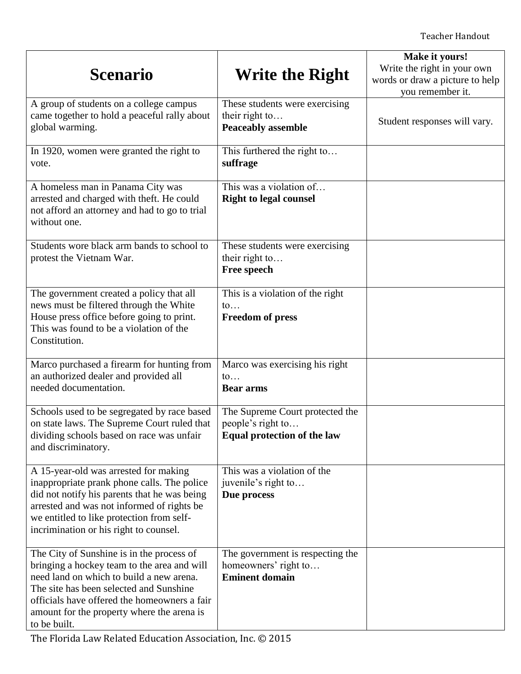| <b>Scenario</b>                                                                                                                                                                                                                                                                               | Write the Right                                                                     | Make it yours!<br>Write the right in your own<br>words or draw a picture to help<br>you remember it. |
|-----------------------------------------------------------------------------------------------------------------------------------------------------------------------------------------------------------------------------------------------------------------------------------------------|-------------------------------------------------------------------------------------|------------------------------------------------------------------------------------------------------|
| A group of students on a college campus<br>came together to hold a peaceful rally about<br>global warming.                                                                                                                                                                                    | These students were exercising<br>their right to<br><b>Peaceably assemble</b>       | Student responses will vary.                                                                         |
| In 1920, women were granted the right to<br>vote.                                                                                                                                                                                                                                             | This furthered the right to<br>suffrage                                             |                                                                                                      |
| A homeless man in Panama City was<br>arrested and charged with theft. He could<br>not afford an attorney and had to go to trial<br>without one.                                                                                                                                               | This was a violation of<br><b>Right to legal counsel</b>                            |                                                                                                      |
| Students wore black arm bands to school to<br>protest the Vietnam War.                                                                                                                                                                                                                        | These students were exercising<br>their right to<br><b>Free speech</b>              |                                                                                                      |
| The government created a policy that all<br>news must be filtered through the White<br>House press office before going to print.<br>This was found to be a violation of the<br>Constitution.                                                                                                  | This is a violation of the right<br>$\mathfrak{to}$<br><b>Freedom of press</b>      |                                                                                                      |
| Marco purchased a firearm for hunting from<br>an authorized dealer and provided all<br>needed documentation.                                                                                                                                                                                  | Marco was exercising his right<br>$\mathfrak{to}$<br><b>Bear arms</b>               |                                                                                                      |
| Schools used to be segregated by race based<br>on state laws. The Supreme Court ruled that<br>dividing schools based on race was unfair<br>and discriminatory.                                                                                                                                | The Supreme Court protected the<br>people's right to<br>Equal protection of the law |                                                                                                      |
| A 15-year-old was arrested for making<br>inappropriate prank phone calls. The police<br>did not notify his parents that he was being<br>arrested and was not informed of rights be<br>we entitled to like protection from self-<br>incrimination or his right to counsel.                     | This was a violation of the<br>juvenile's right to<br>Due process                   |                                                                                                      |
| The City of Sunshine is in the process of<br>bringing a hockey team to the area and will<br>need land on which to build a new arena.<br>The site has been selected and Sunshine<br>officials have offered the homeowners a fair<br>amount for the property where the arena is<br>to be built. | The government is respecting the<br>homeowners' right to<br><b>Eminent domain</b>   |                                                                                                      |